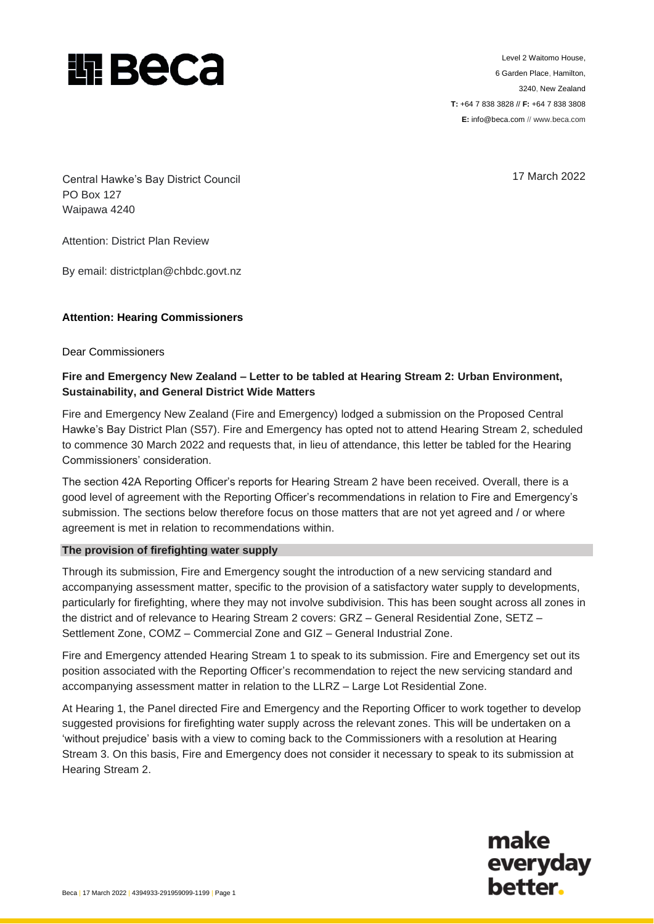

Level 2 Waitomo House, 6 Garden Place, Hamilton, 3240, New Zealand **T:** +64 7 838 3828 // **F:** +64 7 838 3808 **E:** info@beca.com // www.beca.com

17 March 2022

Central Hawke's Bay District Council PO Box 127 Waipawa 4240

Attention: District Plan Review

By email: [districtplan@chbdc.govt.nz](mailto:districtplan@chbdc.govt.nz)

## **Attention: Hearing Commissioners**

Dear Commissioners

## **Fire and Emergency New Zealand – Letter to be tabled at Hearing Stream 2: Urban Environment, Sustainability, and General District Wide Matters**

Fire and Emergency New Zealand (Fire and Emergency) lodged a submission on the Proposed Central Hawke's Bay District Plan (S57). Fire and Emergency has opted not to attend Hearing Stream 2, scheduled to commence 30 March 2022 and requests that, in lieu of attendance, this letter be tabled for the Hearing Commissioners' consideration.

The section 42A Reporting Officer's reports for Hearing Stream 2 have been received. Overall, there is a good level of agreement with the Reporting Officer's recommendations in relation to Fire and Emergency's submission. The sections below therefore focus on those matters that are not yet agreed and / or where agreement is met in relation to recommendations within.

## **The provision of firefighting water supply**

Through its submission, Fire and Emergency sought the introduction of a new servicing standard and accompanying assessment matter, specific to the provision of a satisfactory water supply to developments, particularly for firefighting, where they may not involve subdivision. This has been sought across all zones in the district and of relevance to Hearing Stream 2 covers: GRZ – General Residential Zone, SETZ – Settlement Zone, COMZ – Commercial Zone and GIZ – General Industrial Zone.

Fire and Emergency attended Hearing Stream 1 to speak to its submission. Fire and Emergency set out its position associated with the Reporting Officer's recommendation to reject the new servicing standard and accompanying assessment matter in relation to the LLRZ – Large Lot Residential Zone.

At Hearing 1, the Panel directed Fire and Emergency and the Reporting Officer to work together to develop suggested provisions for firefighting water supply across the relevant zones. This will be undertaken on a 'without prejudice' basis with a view to coming back to the Commissioners with a resolution at Hearing Stream 3. On this basis, Fire and Emergency does not consider it necessary to speak to its submission at Hearing Stream 2.

> make everyday **better.**